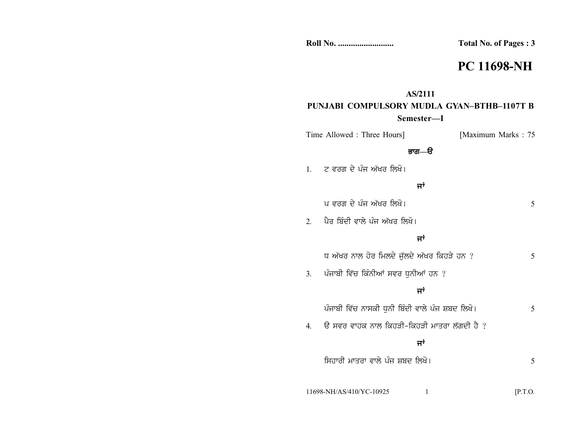| <b>Roll No. </b> | <b>Total</b> N |
|------------------|----------------|
|                  |                |

## **PC 11698-NH**

#### **AS/2111**

## **PUNJABI COMPULSORY MUDLA GYAN–BTHB–1107T B Semester—I**

| Time Allowed : Three Hours] | [Maximum Marks: 75] |  |
|-----------------------------|---------------------|--|
|                             |                     |  |

### **Gkr—T**

|  |  | ਟ ਵਰਗ ਦੇ ਪੰਜ ਅੱਖਰ ਲਿਖੋ। |  |
|--|--|-------------------------|--|
|  |  |                         |  |
|  |  |                         |  |

#### ਜਾਂ

|               | ਪ ਵਰਗ ਦੇ ਪੰਜ ਅੱਖਰ ਲਿਖੋ।                         | 5       |  |
|---------------|-------------------------------------------------|---------|--|
| $\mathcal{D}$ | ਪੈਰ ਬਿੰਦੀ ਵਾਲੇ ਪੰਜ ਅੱਖਰ ਲਿਖੋ।                   |         |  |
| ਜਾਂ           |                                                 |         |  |
|               | ਧ ਅੱਖਰ ਨਾਲ ਹੋਰ ਮਿਲਦੇ ਜੁੱਲਦੇ ਅੱਖਰ ਕਿਹੜੇ ਹਨ ?     | 5       |  |
| 3.            | ਪੰਜਾਬੀ ਵਿੱਚ ਕਿੰਨੀਆਂ ਸਵਰ ਧੁਨੀਆਂ ਹਨ ?             |         |  |
|               | ਜਾਂ                                             |         |  |
|               | ਪੰਜਾਬੀ ਵਿੱਚ ਨਾਸਕੀ ਧਨੀ ਬਿੰਦੀ ਵਾਲੇ ਪੰਜ ਸ਼ਬਦ ਲਿਖੋ। | 5       |  |
| 4.            | ਉ ਸਵਰ ਵਾਹਕ ਨਾਲ ਕਿਹੜੀ-ਕਿਹੜੀ ਮਾਤਰਾ ਲੱਗਦੀ ਹੈ ?     |         |  |
|               | ਜਾਂ                                             |         |  |
|               | ਸਿਹਾਰੀ ਮਾਤਰਾ ਵਾਲੇ ਪੰਜ ਸ਼ਬਦ ਲਿਖੋ।                | 5       |  |
|               |                                                 |         |  |
|               | 11698-NH/AS/410/YC-10925                        | [P.T.O. |  |